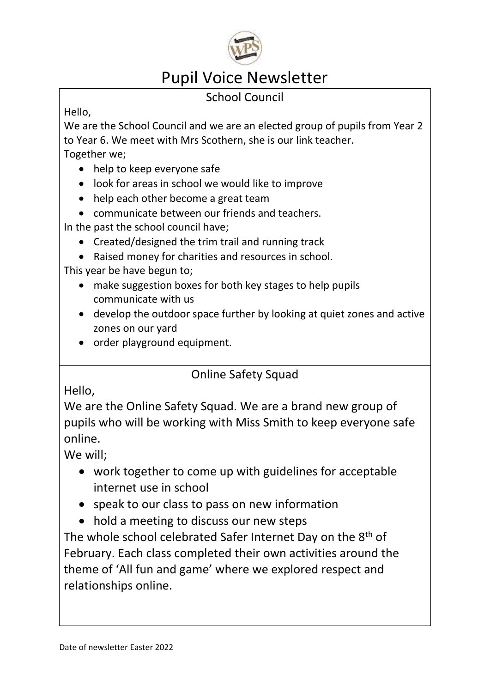

# Pupil Voice Newsletter

## School Council

Hello,

We are the School Council and we are an elected group of pupils from Year 2 to Year 6. We meet with Mrs Scothern, she is our link teacher.

Together we;

- help to keep everyone safe
- look for areas in school we would like to improve
- help each other become a great team
- communicate between our friends and teachers.

In the past the school council have;

- Created/designed the trim trail and running track
- Raised money for charities and resources in school.

This year be have begun to;

- make suggestion boxes for both key stages to help pupils communicate with us
- develop the outdoor space further by looking at quiet zones and active zones on our yard
- order playground equipment.

### Online Safety Squad

Hello,

We are the Online Safety Squad. We are a brand new group of pupils who will be working with Miss Smith to keep everyone safe online.

We will;

- work together to come up with guidelines for acceptable internet use in school
- speak to our class to pass on new information
- hold a meeting to discuss our new steps

The whole school celebrated Safer Internet Day on the 8<sup>th</sup> of February. Each class completed their own activities around the theme of 'All fun and game' where we explored respect and relationships online.